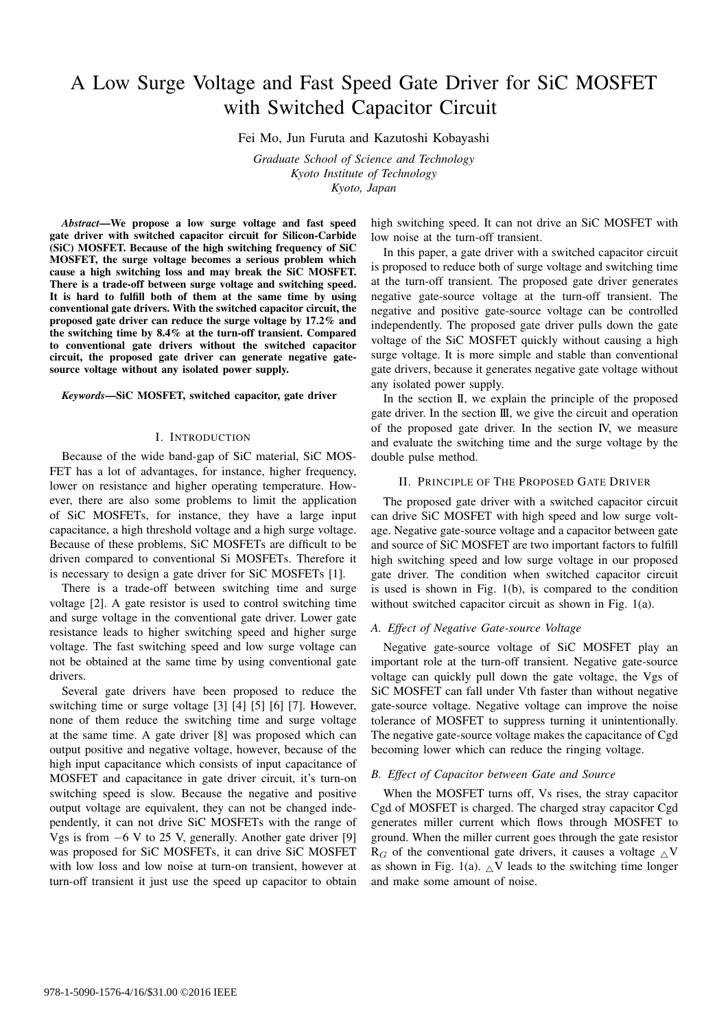# A Low Surge Voltage and Fast Speed Gate Driver for SiC MOSFET with Switched Capacitor Circuit

Fei Mo, Jun Furuta and Kazutoshi Kobayashi

*Graduate School of Science and Technology Kyoto Institute of Technology Kyoto, Japan*

*Abstract*—We propose a low surge voltage and fast speed gate driver with switched capacitor circuit for Silicon-Carbide (SiC) MOSFET. Because of the high switching frequency of SiC MOSFET, the surge voltage becomes a serious problem which cause a high switching loss and may break the SiC MOSFET. There is a trade-off between surge voltage and switching speed. It is hard to fulfill both of them at the same time by using conventional gate drivers. With the switched capacitor circuit, the proposed gate driver can reduce the surge voltage by 17.2% and the switching time by 8.4% at the turn-off transient. Compared to conventional gate drivers without the switched capacitor circuit, the proposed gate driver can generate negative gatesource voltage without any isolated power supply.

#### *Keywords*—SiC MOSFET, switched capacitor, gate driver

#### I. INTRODUCTION

Because of the wide band-gap of SiC material, SiC MOS-FET has a lot of advantages, for instance, higher frequency, lower on resistance and higher operating temperature. However, there are also some problems to limit the application of SiC MOSFETs, for instance, they have a large input capacitance, a high threshold voltage and a high surge voltage. Because of these problems, SiC MOSFETs are difficult to be driven compared to conventional Si MOSFETs. Therefore it is necessary to design a gate driver for SiC MOSFETs [1].

There is a trade-off between switching time and surge voltage [2]. A gate resistor is used to control switching time and surge voltage in the conventional gate driver. Lower gate resistance leads to higher switching speed and higher surge voltage. The fast switching speed and low surge voltage can not be obtained at the same time by using conventional gate drivers.

Several gate drivers have been proposed to reduce the switching time or surge voltage [3] [4] [5] [6] [7]. However, none of them reduce the switching time and surge voltage at the same time. A gate driver [8] was proposed which can output positive and negative voltage, however, because of the high input capacitance which consists of input capacitance of MOSFET and capacitance in gate driver circuit, it's turn-on switching speed is slow. Because the negative and positive output voltage are equivalent, they can not be changed independently, it can not drive SiC MOSFETs with the range of Vgs is from *−*6 V to 25 V, generally. Another gate driver [9] was proposed for SiC MOSFETs, it can drive SiC MOSFET with low loss and low noise at turn-on transient, however at turn-off transient it just use the speed up capacitor to obtain

high switching speed. It can not drive an SiC MOSFET with low noise at the turn-off transient.

In this paper, a gate driver with a switched capacitor circuit is proposed to reduce both of surge voltage and switching time at the turn-off transient. The proposed gate driver generates negative gate-source voltage at the turn-off transient. The negative and positive gate-source voltage can be controlled independently. The proposed gate driver pulls down the gate voltage of the SiC MOSFET quickly without causing a high surge voltage. It is more simple and stable than conventional gate drivers, because it generates negative gate voltage without any isolated power supply.

In the section II, we explain the principle of the proposed gate driver. In the section III, we give the circuit and operation of the proposed gate driver. In the section IV, we measure and evaluate the switching time and the surge voltage by the double pulse method.

#### II. PRINCIPLE OF THE PROPOSED GATE DRIVER

The proposed gate driver with a switched capacitor circuit can drive SiC MOSFET with high speed and low surge voltage. Negative gate-source voltage and a capacitor between gate and source of SiC MOSFET are two important factors to fulfill high switching speed and low surge voltage in our proposed gate driver. The condition when switched capacitor circuit is used is shown in Fig. 1(b), is compared to the condition without switched capacitor circuit as shown in Fig. 1(a).

#### *A. Effect of Negative Gate-source Voltage*

Negative gate-source voltage of SiC MOSFET play an important role at the turn-off transient. Negative gate-source voltage can quickly pull down the gate voltage, the Vgs of SiC MOSFET can fall under Vth faster than without negative gate-source voltage. Negative voltage can improve the noise tolerance of MOSFET to suppress turning it unintentionally. The negative gate-source voltage makes the capacitance of Cgd becoming lower which can reduce the ringing voltage.

#### *B. Effect of Capacitor between Gate and Source*

When the MOSFET turns off, Vs rises, the stray capacitor Cgd of MOSFET is charged. The charged stray capacitor Cgd generates miller current which flows through MOSFET to ground. When the miller current goes through the gate resistor  $R_G$  of the conventional gate drivers, it causes a voltage  $\land$  V as shown in Fig. 1(a).  $\Delta V$  leads to the switching time longer and make some amount of noise.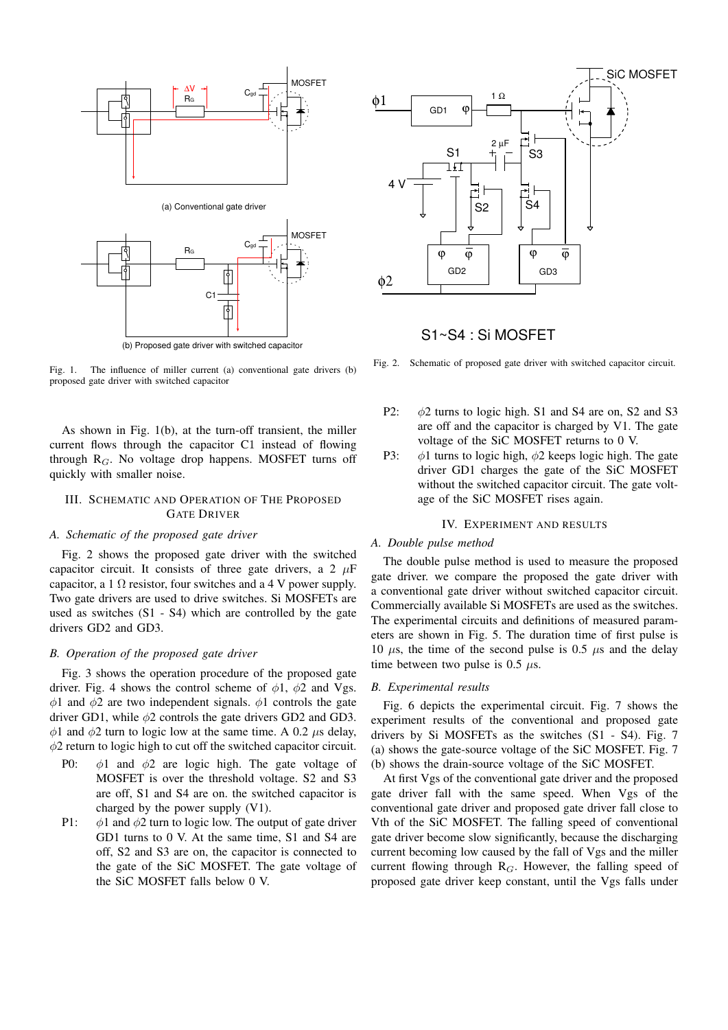

(b) Proposed gate driver with switched capacitor

Fig. 1. The influence of miller current (a) conventional gate drivers (b) proposed gate driver with switched capacitor

As shown in Fig. 1(b), at the turn-off transient, the miller current flows through the capacitor C1 instead of flowing through R*G*. No voltage drop happens. MOSFET turns off quickly with smaller noise.

## III. SCHEMATIC AND OPERATION OF THE PROPOSED GATE DRIVER

#### *A. Schematic of the proposed gate driver*

Fig. 2 shows the proposed gate driver with the switched capacitor circuit. It consists of three gate drivers, a 2  $\mu$ F capacitor, a 1  $\Omega$  resistor, four switches and a 4 V power supply. Two gate drivers are used to drive switches. Si MOSFETs are used as switches (S1 - S4) which are controlled by the gate drivers GD2 and GD3.

#### *B. Operation of the proposed gate driver*

Fig. 3 shows the operation procedure of the proposed gate driver. Fig. 4 shows the control scheme of  $\phi$ 1,  $\phi$ 2 and Vgs. *ϕ*1 and *ϕ*2 are two independent signals. *ϕ*1 controls the gate driver GD1, while *ϕ*2 controls the gate drivers GD2 and GD3. *ϕ*1 and *ϕ*2 turn to logic low at the same time. A 0.2 *µ*s delay, *ϕ*2 return to logic high to cut off the switched capacitor circuit.

- P0: *ϕ*1 and *ϕ*2 are logic high. The gate voltage of MOSFET is over the threshold voltage. S2 and S3 are off, S1 and S4 are on. the switched capacitor is charged by the power supply (V1).
- P1: *ϕ*1 and *ϕ*2 turn to logic low. The output of gate driver GD1 turns to 0 V. At the same time, S1 and S4 are off, S2 and S3 are on, the capacitor is connected to the gate of the SiC MOSFET. The gate voltage of the SiC MOSFET falls below 0 V.



# S1~S4 : Si MOSFET

Fig. 2. Schematic of proposed gate driver with switched capacitor circuit.

- P2: *ϕ*2 turns to logic high. S1 and S4 are on, S2 and S3 are off and the capacitor is charged by V1. The gate voltage of the SiC MOSFET returns to 0 V.
- P3: *ϕ*1 turns to logic high, *ϕ*2 keeps logic high. The gate driver GD1 charges the gate of the SiC MOSFET without the switched capacitor circuit. The gate voltage of the SiC MOSFET rises again.

#### IV. EXPERIMENT AND RESULTS

### *A. Double pulse method*

The double pulse method is used to measure the proposed gate driver. we compare the proposed the gate driver with a conventional gate driver without switched capacitor circuit. Commercially available Si MOSFETs are used as the switches. The experimental circuits and definitions of measured parameters are shown in Fig. 5. The duration time of first pulse is 10  $\mu$ s, the time of the second pulse is 0.5  $\mu$ s and the delay time between two pulse is 0.5 *µ*s.

#### *B. Experimental results*

Fig. 6 depicts the experimental circuit. Fig. 7 shows the experiment results of the conventional and proposed gate drivers by Si MOSFETs as the switches (S1 - S4). Fig. 7 (a) shows the gate-source voltage of the SiC MOSFET. Fig. 7 (b) shows the drain-source voltage of the SiC MOSFET.

At first Vgs of the conventional gate driver and the proposed gate driver fall with the same speed. When Vgs of the conventional gate driver and proposed gate driver fall close to Vth of the SiC MOSFET. The falling speed of conventional gate driver become slow significantly, because the discharging current becoming low caused by the fall of Vgs and the miller current flowing through R*G*. However, the falling speed of proposed gate driver keep constant, until the Vgs falls under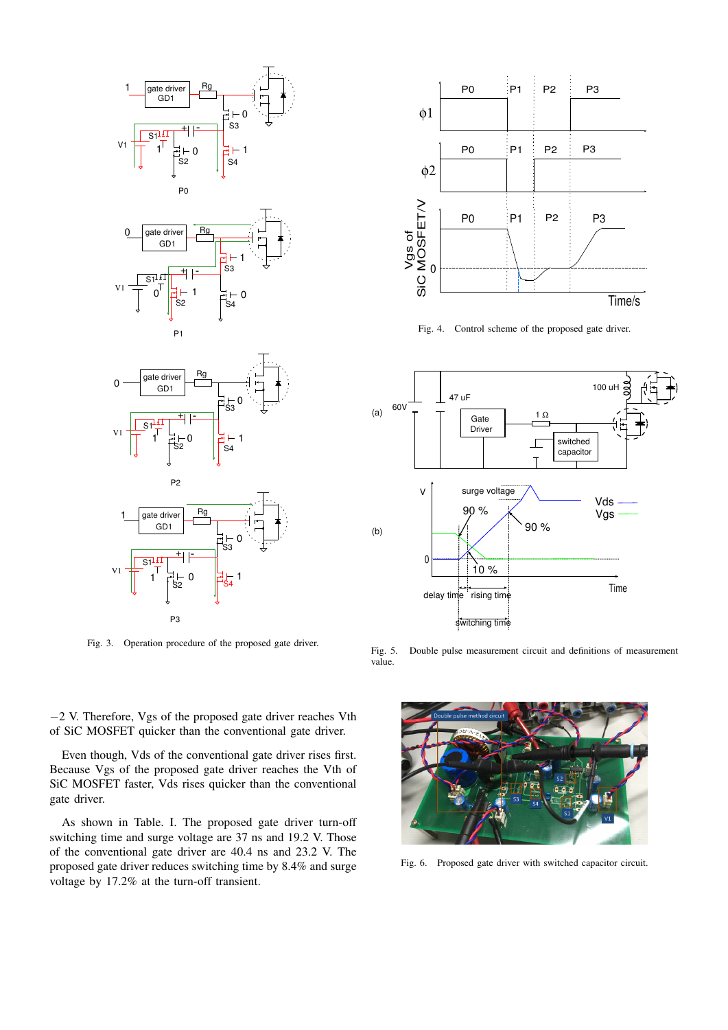

Fig. 3. Operation procedure of the proposed gate driver.



*−*2 V. Therefore, Vgs of the proposed gate driver reaches Vth

Because Vgs of the proposed gate driver reaches the Vth of SiC MOSFET faster, Vds rises quicker than the conventional gate driver.

As shown in Table. I. The proposed gate driver turn-off switching time and surge voltage are 37 ns and 19.2 V. Those of the conventional gate driver are 40.4 ns and 23.2 V. The proposed gate driver reduces switching time by 8.4% and surge



Fig. 4. Control scheme of the proposed gate driver.



Fig. 5. Double pulse measurement circuit and definitions of measurement value.



Fig. 6. Proposed gate driver with switched capacitor circuit.